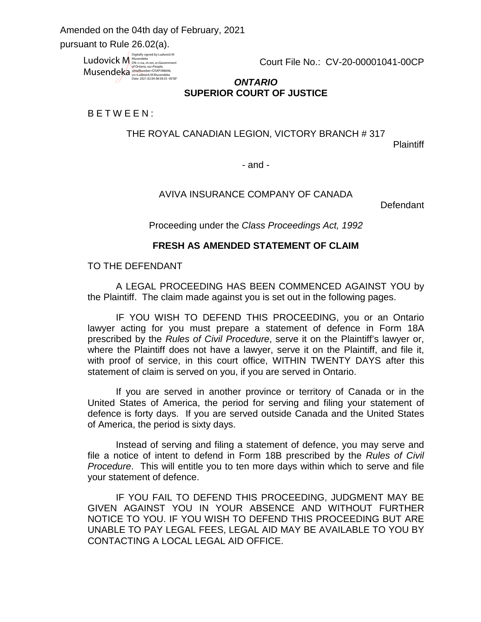$\overline{a}$ Amended on the 04th day of February, 2021

pursuant to Rule 26.02(a).

Ludovick M Musendeka Digitally signed by Ludovick M<br>Musendeka<br>DN: c=ca, st=on, o=Government<br>of Ontario, ou=People,<br>s<u>ērialNumber=DSAP388646,</u><br>cn=Ludovick M Musendeka<br>Cnate: 2021.02.04 08:58:55 -05'00'

Court File No.: CV-20-00001041-00CP

## *ONTARIO* **SUPERIOR COURT OF JUSTICE**

### B E T W E E N :

THE ROYAL CANADIAN LEGION, VICTORY BRANCH # 317

Plaintiff

- and -

## AVIVA INSURANCE COMPANY OF CANADA

Defendant

Proceeding under the *Class Proceedings Act, 1992* 

### **FRESH AS AMENDED STATEMENT OF CLAIM**

### TO THE DEFENDANT

A LEGAL PROCEEDING HAS BEEN COMMENCED AGAINST YOU by the Plaintiff. The claim made against you is set out in the following pages.

IF YOU WISH TO DEFEND THIS PROCEEDING, you or an Ontario lawyer acting for you must prepare a statement of defence in Form 18A prescribed by the *Rules of Civil Procedure*, serve it on the Plaintiff's lawyer or, where the Plaintiff does not have a lawyer, serve it on the Plaintiff, and file it, with proof of service, in this court office, WITHIN TWENTY DAYS after this statement of claim is served on you, if you are served in Ontario.

If you are served in another province or territory of Canada or in the United States of America, the period for serving and filing your statement of defence is forty days. If you are served outside Canada and the United States of America, the period is sixty days.

Instead of serving and filing a statement of defence, you may serve and file a notice of intent to defend in Form 18B prescribed by the *Rules of Civil Procedure*. This will entitle you to ten more days within which to serve and file your statement of defence.

IF YOU FAIL TO DEFEND THIS PROCEEDING, JUDGMENT MAY BE GIVEN AGAINST YOU IN YOUR ABSENCE AND WITHOUT FURTHER NOTICE TO YOU. IF YOU WISH TO DEFEND THIS PROCEEDING BUT ARE UNABLE TO PAY LEGAL FEES, LEGAL AID MAY BE AVAILABLE TO YOU BY CONTACTING A LOCAL LEGAL AID OFFICE.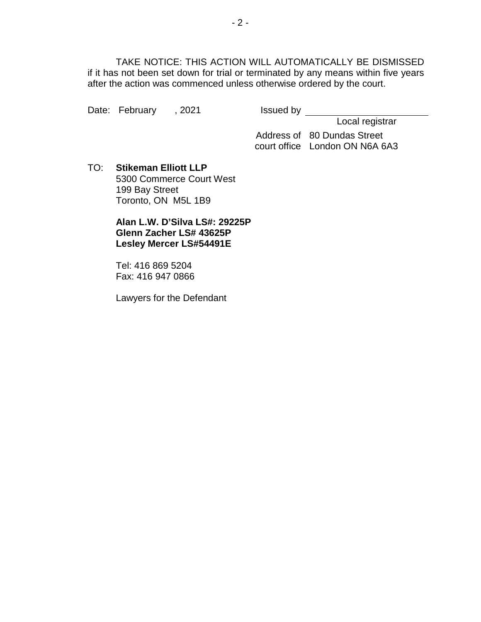TAKE NOTICE: THIS ACTION WILL AUTOMATICALLY BE DISMISSED if it has not been set down for trial or terminated by any means within five years after the action was commenced unless otherwise ordered by the court.

Date: February , 2021 Issued by

Local registrar

Address of 80 Dundas Street court office London ON N6A 6A3

TO: **Stikeman Elliott LLP** 5300 Commerce Court West 199 Bay Street Toronto, ON M5L 1B9

> **Alan L.W. D'Silva LS#: 29225P Glenn Zacher LS# 43625P Lesley Mercer LS#54491E**

Tel: 416 869 5204 Fax: 416 947 0866

Lawyers for the Defendant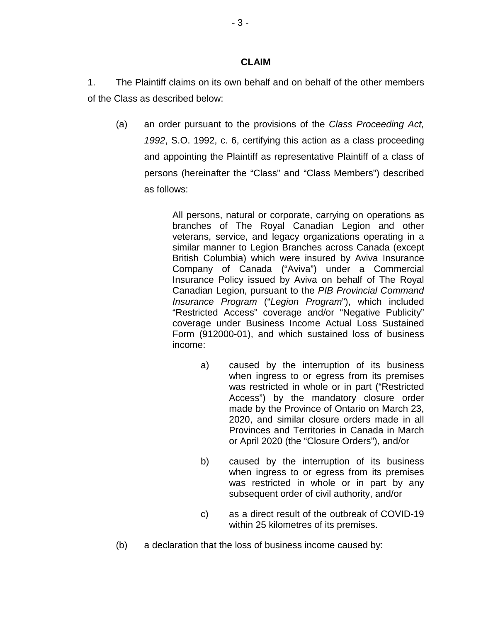### **CLAIM**

1. The Plaintiff claims on its own behalf and on behalf of the other members of the Class as described below:

(a) an order pursuant to the provisions of the *Class Proceeding Act, 1992*, S.O. 1992, c. 6, certifying this action as a class proceeding and appointing the Plaintiff as representative Plaintiff of a class of persons (hereinafter the "Class" and "Class Members") described as follows:

> All persons, natural or corporate, carrying on operations as branches of The Royal Canadian Legion and other veterans, service, and legacy organizations operating in a similar manner to Legion Branches across Canada (except British Columbia) which were insured by Aviva Insurance Company of Canada ("Aviva") under a Commercial Insurance Policy issued by Aviva on behalf of The Royal Canadian Legion, pursuant to the *PIB Provincial Command Insurance Program* ("*Legion Program*"), which included "Restricted Access" coverage and/or "Negative Publicity" coverage under Business Income Actual Loss Sustained Form (912000-01), and which sustained loss of business income:

- a) caused by the interruption of its business when ingress to or egress from its premises was restricted in whole or in part ("Restricted Access") by the mandatory closure order made by the Province of Ontario on March 23, 2020, and similar closure orders made in all Provinces and Territories in Canada in March or April 2020 (the "Closure Orders"), and/or
- b) caused by the interruption of its business when ingress to or egress from its premises was restricted in whole or in part by any subsequent order of civil authority, and/or
- c) as a direct result of the outbreak of COVID-19 within 25 kilometres of its premises.
- (b) a declaration that the loss of business income caused by: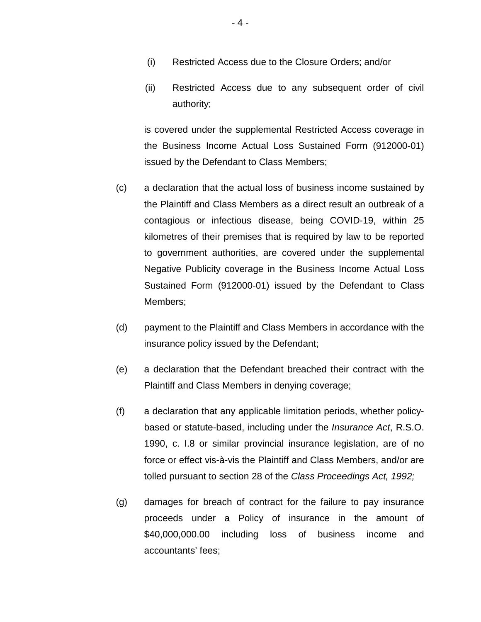- (i) Restricted Access due to the Closure Orders; and/or
- (ii) Restricted Access due to any subsequent order of civil authority;

is covered under the supplemental Restricted Access coverage in the Business Income Actual Loss Sustained Form (912000-01) issued by the Defendant to Class Members;

- (c) a declaration that the actual loss of business income sustained by the Plaintiff and Class Members as a direct result an outbreak of a contagious or infectious disease, being COVID-19, within 25 kilometres of their premises that is required by law to be reported to government authorities, are covered under the supplemental Negative Publicity coverage in the Business Income Actual Loss Sustained Form (912000-01) issued by the Defendant to Class Members;
- (d) payment to the Plaintiff and Class Members in accordance with the insurance policy issued by the Defendant;
- (e) a declaration that the Defendant breached their contract with the Plaintiff and Class Members in denying coverage;
- (f) a declaration that any applicable limitation periods, whether policybased or statute-based, including under the *Insurance Act*, R.S.O. 1990, c. I.8 or similar provincial insurance legislation, are of no force or effect vis-à-vis the Plaintiff and Class Members, and/or are tolled pursuant to section 28 of the *Class Proceedings Act, 1992;*
- (g) damages for breach of contract for the failure to pay insurance proceeds under a Policy of insurance in the amount of \$40,000,000.00 including loss of business income and accountants' fees;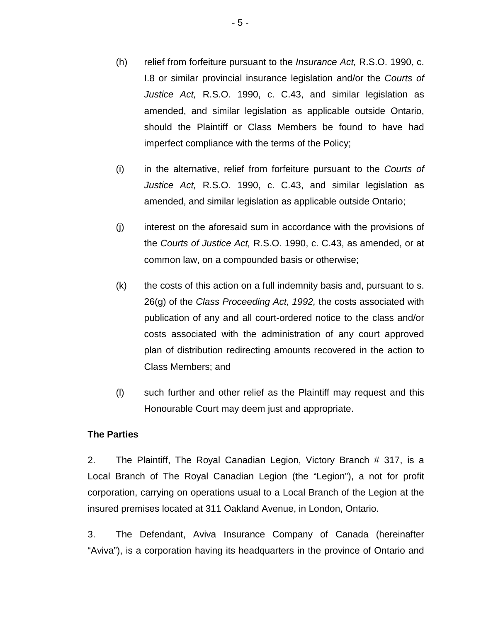- (h) relief from forfeiture pursuant to the *Insurance Act,* R.S.O. 1990, c. I.8 or similar provincial insurance legislation and/or the *Courts of Justice Act,* R.S.O. 1990, c. C.43, and similar legislation as amended, and similar legislation as applicable outside Ontario, should the Plaintiff or Class Members be found to have had imperfect compliance with the terms of the Policy;
- (i) in the alternative, relief from forfeiture pursuant to the *Courts of Justice Act,* R.S.O. 1990, c. C.43, and similar legislation as amended, and similar legislation as applicable outside Ontario;
- (j) interest on the aforesaid sum in accordance with the provisions of the *Courts of Justice Act,* R.S.O. 1990, c. C.43, as amended, or at common law, on a compounded basis or otherwise;
- (k) the costs of this action on a full indemnity basis and, pursuant to s. 26(g) of the *Class Proceeding Act, 1992,* the costs associated with publication of any and all court-ordered notice to the class and/or costs associated with the administration of any court approved plan of distribution redirecting amounts recovered in the action to Class Members; and
- (l) such further and other relief as the Plaintiff may request and this Honourable Court may deem just and appropriate.

## **The Parties**

2. The Plaintiff, The Royal Canadian Legion, Victory Branch # 317, is a Local Branch of The Royal Canadian Legion (the "Legion"), a not for profit corporation, carrying on operations usual to a Local Branch of the Legion at the insured premises located at 311 Oakland Avenue, in London, Ontario.

3. The Defendant, Aviva Insurance Company of Canada (hereinafter "Aviva"), is a corporation having its headquarters in the province of Ontario and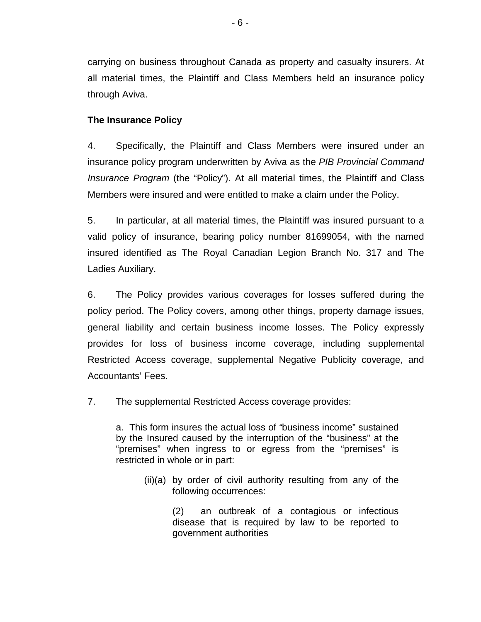carrying on business throughout Canada as property and casualty insurers. At all material times, the Plaintiff and Class Members held an insurance policy through Aviva.

# **The Insurance Policy**

4. Specifically, the Plaintiff and Class Members were insured under an insurance policy program underwritten by Aviva as the *PIB Provincial Command Insurance Program* (the "Policy"). At all material times, the Plaintiff and Class Members were insured and were entitled to make a claim under the Policy.

5. In particular, at all material times, the Plaintiff was insured pursuant to a valid policy of insurance, bearing policy number 81699054, with the named insured identified as The Royal Canadian Legion Branch No. 317 and The Ladies Auxiliary.

6. The Policy provides various coverages for losses suffered during the policy period. The Policy covers, among other things, property damage issues, general liability and certain business income losses. The Policy expressly provides for loss of business income coverage, including supplemental Restricted Access coverage, supplemental Negative Publicity coverage, and Accountants' Fees.

7. The supplemental Restricted Access coverage provides:

a.This form insures the actual loss of *"*business income" sustained by the Insured caused by the interruption of the "business" at the "premises" when ingress to or egress from the "premises" is restricted in whole or in part:

(ii)(a) by order of civil authority resulting from any of the following occurrences:

> (2) an outbreak of a contagious or infectious disease that is required by law to be reported to government authorities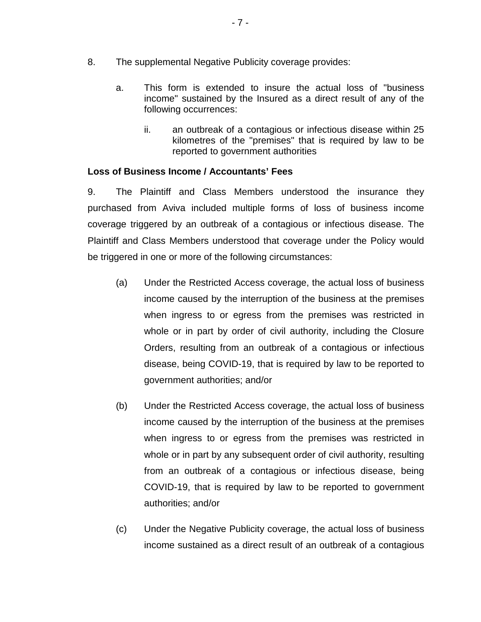- 8. The supplemental Negative Publicity coverage provides:
	- a. This form is extended to insure the actual loss of "business income" sustained by the Insured as a direct result of any of the following occurrences:
		- ii. an outbreak of a contagious or infectious disease within 25 kilometres of the "premises" that is required by law to be reported to government authorities

## **Loss of Business Income / Accountants' Fees**

9. The Plaintiff and Class Members understood the insurance they purchased from Aviva included multiple forms of loss of business income coverage triggered by an outbreak of a contagious or infectious disease. The Plaintiff and Class Members understood that coverage under the Policy would be triggered in one or more of the following circumstances:

- (a) Under the Restricted Access coverage, the actual loss of business income caused by the interruption of the business at the premises when ingress to or egress from the premises was restricted in whole or in part by order of civil authority, including the Closure Orders, resulting from an outbreak of a contagious or infectious disease, being COVID-19, that is required by law to be reported to government authorities; and/or
- (b) Under the Restricted Access coverage, the actual loss of business income caused by the interruption of the business at the premises when ingress to or egress from the premises was restricted in whole or in part by any subsequent order of civil authority, resulting from an outbreak of a contagious or infectious disease, being COVID-19, that is required by law to be reported to government authorities; and/or
- (c) Under the Negative Publicity coverage, the actual loss of business income sustained as a direct result of an outbreak of a contagious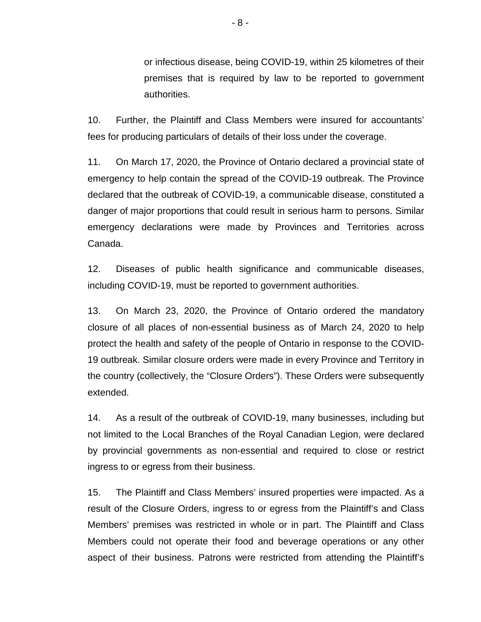or infectious disease, being COVID-19, within 25 kilometres of their premises that is required by law to be reported to government authorities.

10. Further, the Plaintiff and Class Members were insured for accountants' fees for producing particulars of details of their loss under the coverage.

11. On March 17, 2020, the Province of Ontario declared a provincial state of emergency to help contain the spread of the COVID-19 outbreak. The Province declared that the outbreak of COVID-19, a communicable disease, constituted a danger of major proportions that could result in serious harm to persons. Similar emergency declarations were made by Provinces and Territories across Canada.

12. Diseases of public health significance and communicable diseases, including COVID-19, must be reported to government authorities.

13. On March 23, 2020, the Province of Ontario ordered the mandatory closure of all places of non-essential business as of March 24, 2020 to help protect the health and safety of the people of Ontario in response to the COVID-19 outbreak. Similar closure orders were made in every Province and Territory in the country (collectively, the "Closure Orders"). These Orders were subsequently extended.

14. As a result of the outbreak of COVID-19, many businesses, including but not limited to the Local Branches of the Royal Canadian Legion, were declared by provincial governments as non-essential and required to close or restrict ingress to or egress from their business.

15. The Plaintiff and Class Members' insured properties were impacted. As a result of the Closure Orders, ingress to or egress from the Plaintiff's and Class Members' premises was restricted in whole or in part. The Plaintiff and Class Members could not operate their food and beverage operations or any other aspect of their business. Patrons were restricted from attending the Plaintiff's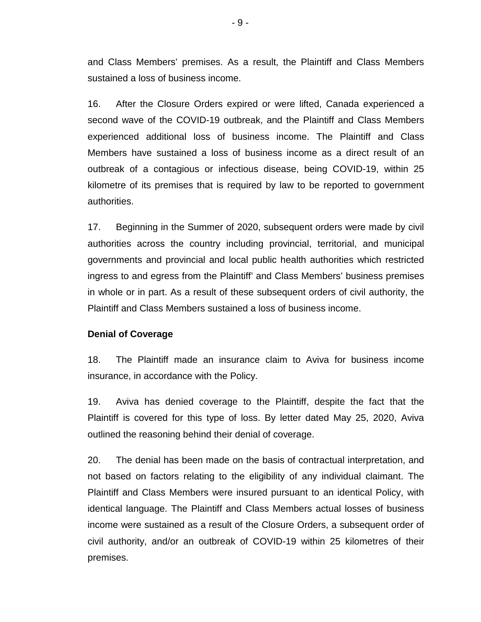and Class Members' premises. As a result, the Plaintiff and Class Members sustained a loss of business income.

16. After the Closure Orders expired or were lifted, Canada experienced a second wave of the COVID-19 outbreak, and the Plaintiff and Class Members experienced additional loss of business income. The Plaintiff and Class Members have sustained a loss of business income as a direct result of an outbreak of a contagious or infectious disease, being COVID-19, within 25 kilometre of its premises that is required by law to be reported to government authorities.

17. Beginning in the Summer of 2020, subsequent orders were made by civil authorities across the country including provincial, territorial, and municipal governments and provincial and local public health authorities which restricted ingress to and egress from the Plaintiff' and Class Members' business premises in whole or in part. As a result of these subsequent orders of civil authority, the Plaintiff and Class Members sustained a loss of business income.

### **Denial of Coverage**

18. The Plaintiff made an insurance claim to Aviva for business income insurance, in accordance with the Policy.

19. Aviva has denied coverage to the Plaintiff, despite the fact that the Plaintiff is covered for this type of loss. By letter dated May 25, 2020, Aviva outlined the reasoning behind their denial of coverage.

20. The denial has been made on the basis of contractual interpretation, and not based on factors relating to the eligibility of any individual claimant. The Plaintiff and Class Members were insured pursuant to an identical Policy, with identical language. The Plaintiff and Class Members actual losses of business income were sustained as a result of the Closure Orders, a subsequent order of civil authority, and/or an outbreak of COVID-19 within 25 kilometres of their premises.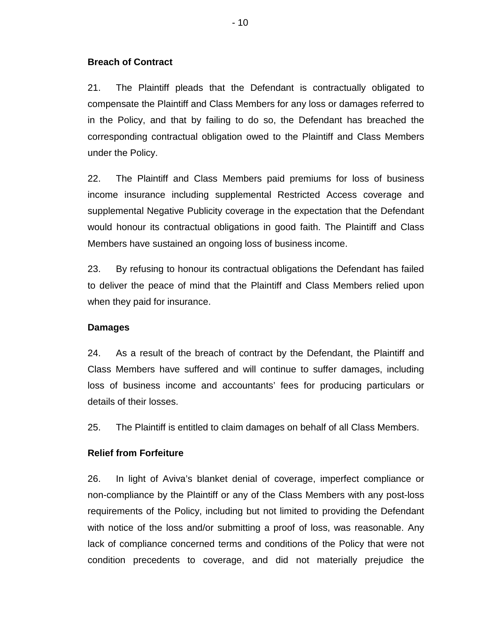### **Breach of Contract**

21. The Plaintiff pleads that the Defendant is contractually obligated to compensate the Plaintiff and Class Members for any loss or damages referred to in the Policy, and that by failing to do so, the Defendant has breached the corresponding contractual obligation owed to the Plaintiff and Class Members under the Policy.

22. The Plaintiff and Class Members paid premiums for loss of business income insurance including supplemental Restricted Access coverage and supplemental Negative Publicity coverage in the expectation that the Defendant would honour its contractual obligations in good faith. The Plaintiff and Class Members have sustained an ongoing loss of business income.

23. By refusing to honour its contractual obligations the Defendant has failed to deliver the peace of mind that the Plaintiff and Class Members relied upon when they paid for insurance.

### **Damages**

24. As a result of the breach of contract by the Defendant, the Plaintiff and Class Members have suffered and will continue to suffer damages, including loss of business income and accountants' fees for producing particulars or details of their losses.

25. The Plaintiff is entitled to claim damages on behalf of all Class Members.

## **Relief from Forfeiture**

26. In light of Aviva's blanket denial of coverage, imperfect compliance or non-compliance by the Plaintiff or any of the Class Members with any post-loss requirements of the Policy, including but not limited to providing the Defendant with notice of the loss and/or submitting a proof of loss, was reasonable. Any lack of compliance concerned terms and conditions of the Policy that were not condition precedents to coverage, and did not materially prejudice the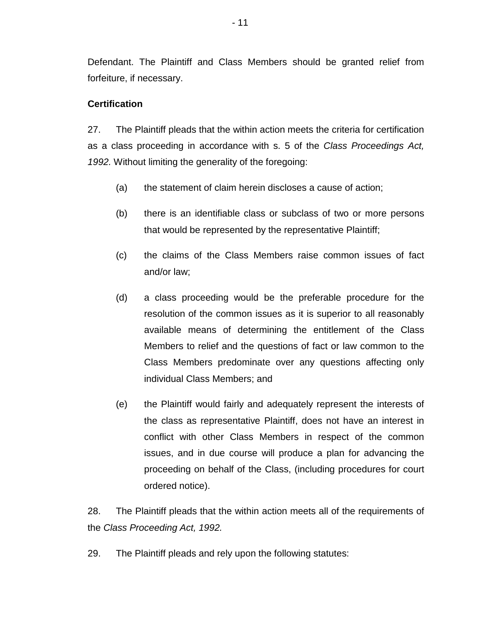Defendant. The Plaintiff and Class Members should be granted relief from forfeiture, if necessary.

## **Certification**

27. The Plaintiff pleads that the within action meets the criteria for certification as a class proceeding in accordance with s. 5 of the *Class Proceedings Act, 1992.* Without limiting the generality of the foregoing:

- (a) the statement of claim herein discloses a cause of action;
- (b) there is an identifiable class or subclass of two or more persons that would be represented by the representative Plaintiff;
- (c) the claims of the Class Members raise common issues of fact and/or law;
- (d) a class proceeding would be the preferable procedure for the resolution of the common issues as it is superior to all reasonably available means of determining the entitlement of the Class Members to relief and the questions of fact or law common to the Class Members predominate over any questions affecting only individual Class Members; and
- (e) the Plaintiff would fairly and adequately represent the interests of the class as representative Plaintiff, does not have an interest in conflict with other Class Members in respect of the common issues, and in due course will produce a plan for advancing the proceeding on behalf of the Class, (including procedures for court ordered notice).

28. The Plaintiff pleads that the within action meets all of the requirements of the *Class Proceeding Act, 1992.*

29. The Plaintiff pleads and rely upon the following statutes: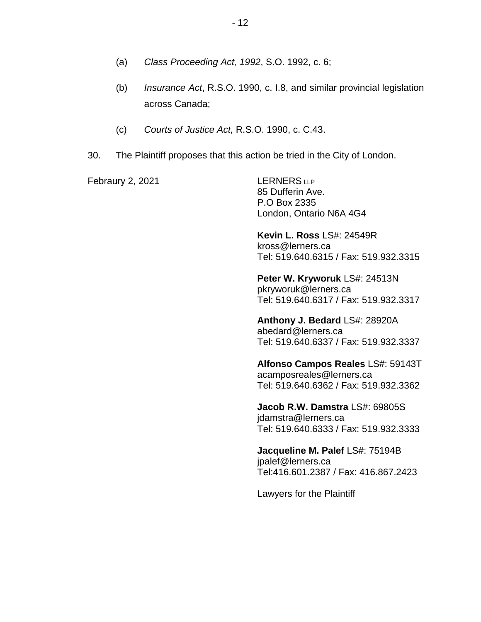- (a) *Class Proceeding Act, 1992*, S.O. 1992, c. 6;
- (b) *Insurance Act*, R.S.O. 1990, c. I.8, and similar provincial legislation across Canada;
- (c) *Courts of Justice Act,* R.S.O. 1990, c. C.43.
- 30. The Plaintiff proposes that this action be tried in the City of London.

Febraury 2, 2021 LERNERS LLP

85 Dufferin Ave. P.O Box 2335 London, Ontario N6A 4G4

**Kevin L. Ross** LS#: 24549R kross@lerners.ca Tel: 519.640.6315 / Fax: 519.932.3315

**Peter W. Kryworuk** LS#: 24513N pkryworuk@lerners.ca Tel: 519.640.6317 / Fax: 519.932.3317

**Anthony J. Bedard** LS#: 28920A abedard@lerners.ca Tel: 519.640.6337 / Fax: 519.932.3337

**Alfonso Campos Reales** LS#: 59143T acamposreales@lerners.ca Tel: 519.640.6362 / Fax: 519.932.3362

**Jacob R.W. Damstra** LS#: 69805S jdamstra@lerners.ca Tel: 519.640.6333 / Fax: 519.932.3333

**Jacqueline M. Palef** LS#: 75194B jpalef@lerners.ca Tel:416.601.2387 / Fax: 416.867.2423

Lawyers for the Plaintiff